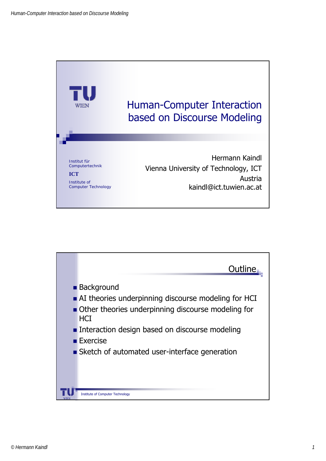

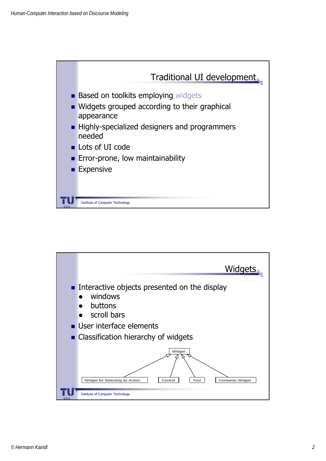

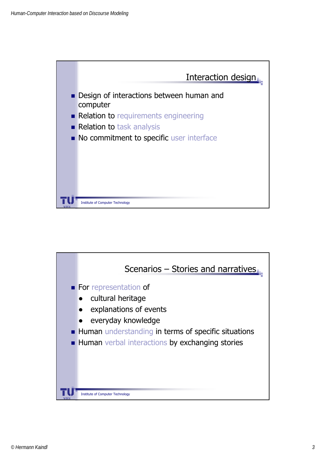

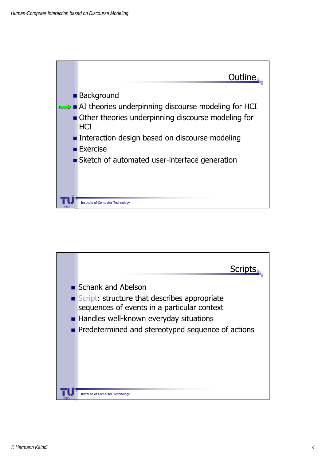

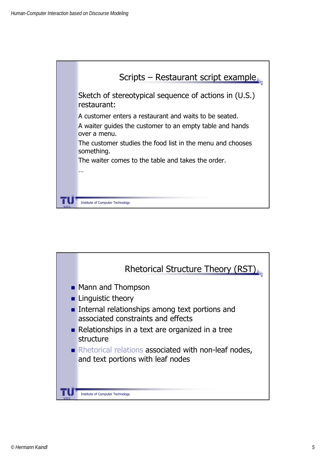

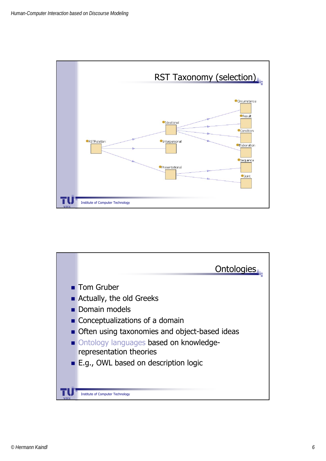

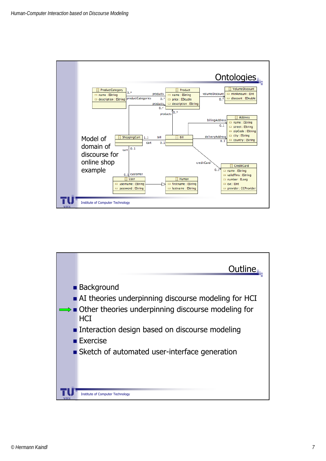

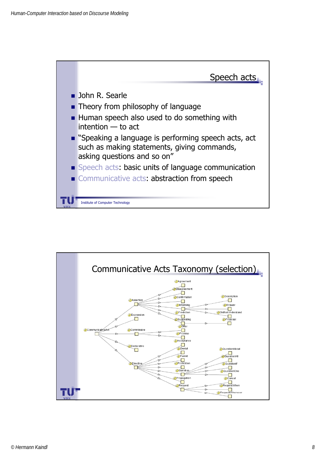

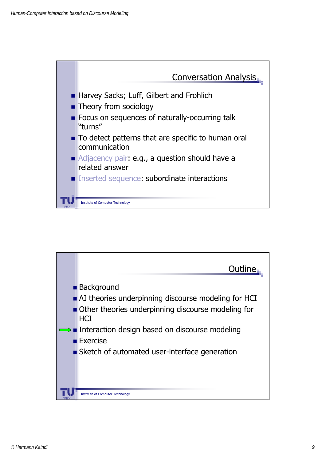

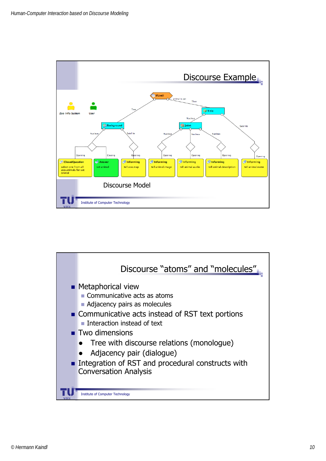

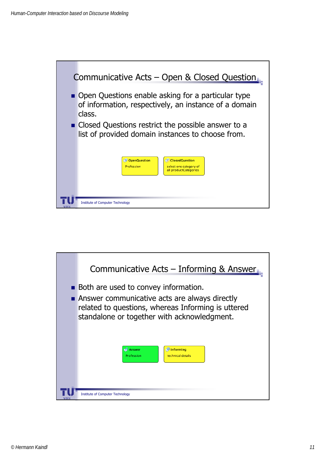

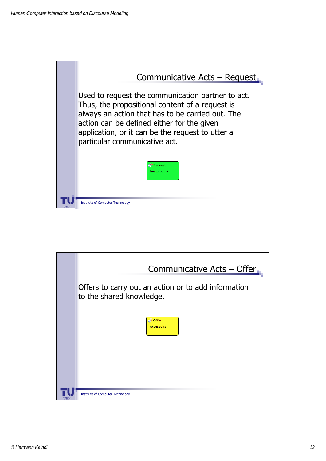

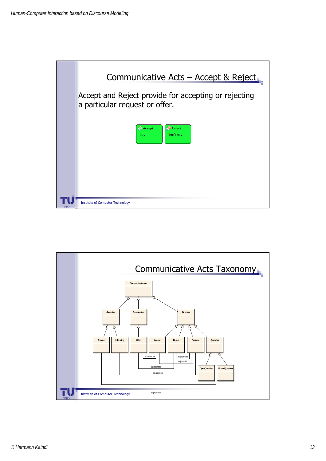

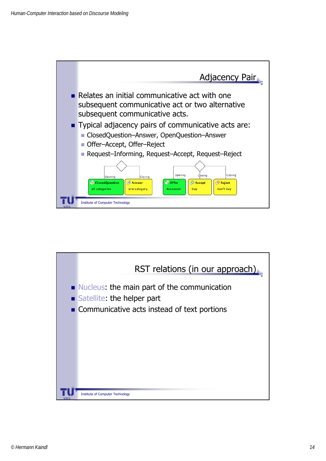

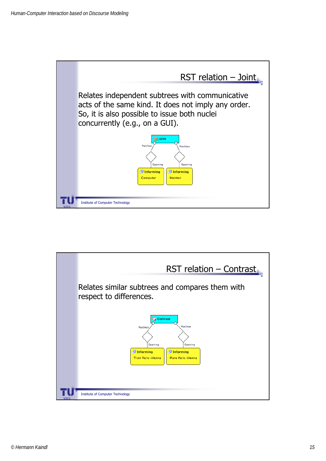

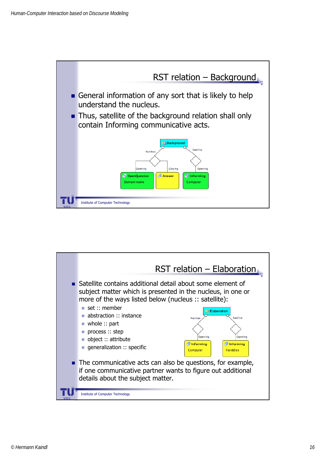

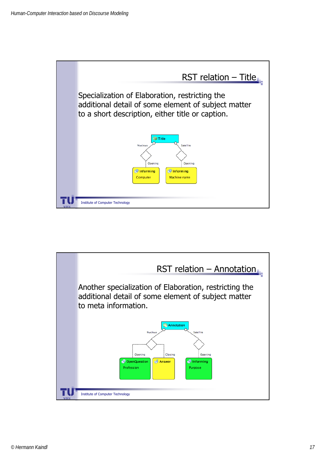

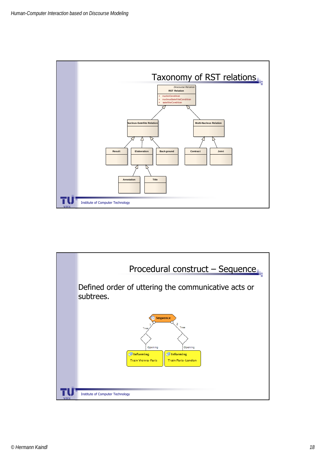

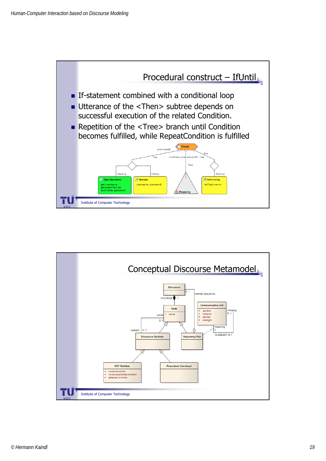

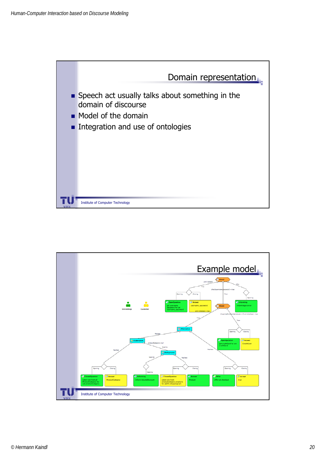

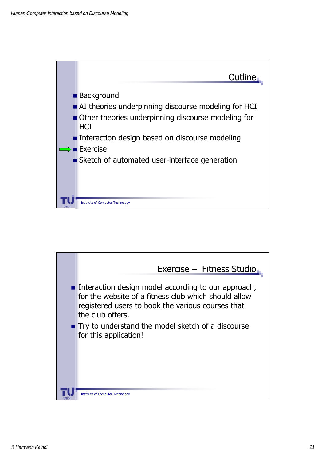

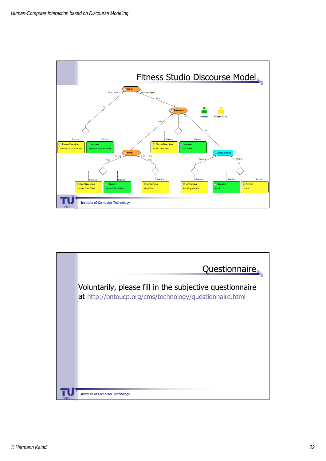

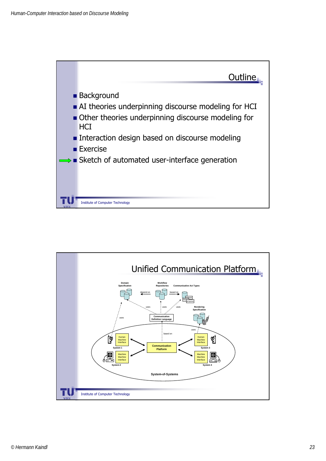

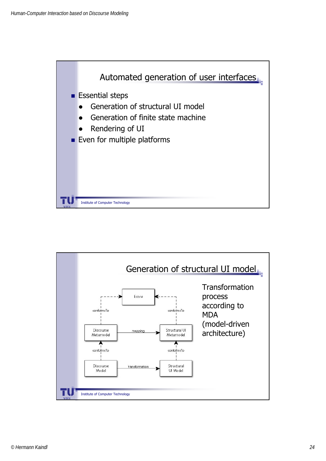

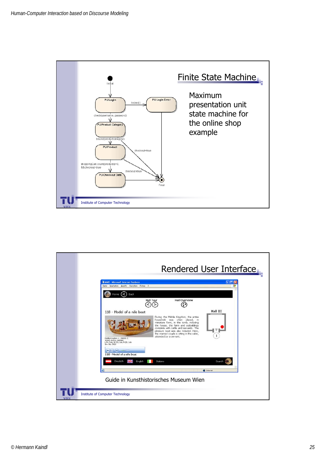

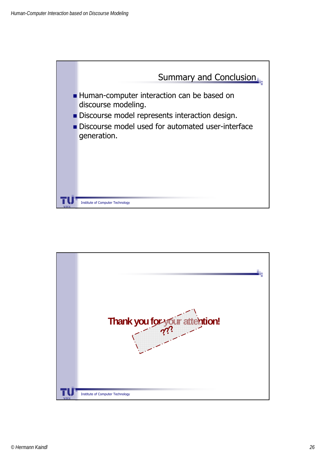

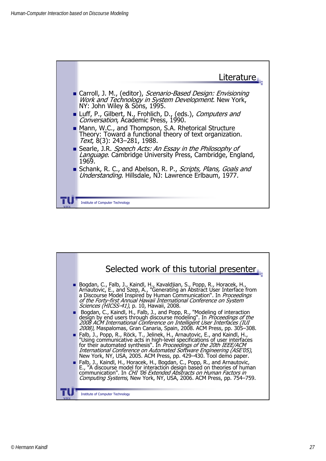